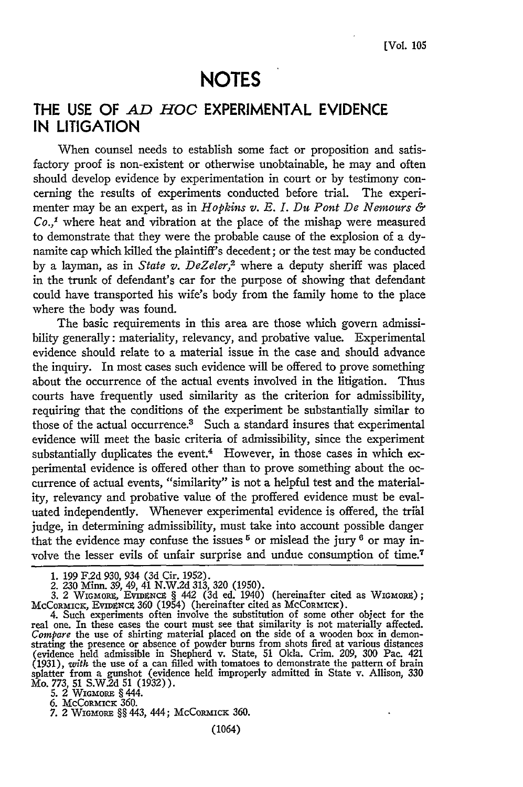# **NOTES**

## **THE USE OF** *AD HOC* **EXPERIMENTAL EVIDENCE IN LITIGATION**

When counsel needs to establish some fact or proposition and satisfactory proof is non-existent or otherwise unobtainable, he may and often should develop evidence **by** experimentation in court or **by** testimony concerning the results of experiments conducted before trial. The experimenter may be an expert, as in *Hopkins v. E. I. Du Pont De Nemours & Co.,'* where heat and vibration at the place of the mishap were measured to demonstrate that they were the probable cause of the explosion of a **dy**namite cap which killed the plaintiff's decedent; or the test may be conducted **by** a layman, as in *State v. DeZeler,2* where a deputy sheriff was placed in the trunk of defendant's car for the purpose of showing that defendant could have transported his wife's body from the family home to the place where the body was found.

The basic requirements in this area are those which govern admissibility generally: materiality, relevancy, and probative value. Experimental evidence should relate to a material issue in the case and should advance the inquiry. In most cases such evidence will be offered to prove something about the occurrence of the actual events involved in the litigation. Thus courts have frequently used similarity as the criterion for admissibility, requiring that the conditions of the experiment be substantially similar to those of the actual occurrence.<sup>3</sup> Such a standard insures that experimental evidence will meet the basic criteria of admissibility, since the experiment substantially duplicates the event. $4$  However, in those cases in which experimental evidence is offered other than to prove something about the occurrence of actual events, "similarity" is not a helpful test and the materiality, relevancy and probative value of the proffered evidence must be evaluated independently. Whenever experimental evidence is offered, the trial judge, in determining admissibility, must take into account possible danger that the evidence may confuse the issues  $5$  or mislead the jury  $6$  or may involve the lesser evils of unfair surprise and undue consumption of time.7

**1.** 199 **F.2d** 930, 934 (3d Cir. 1952).

2. 230 Minn. 39, 49, 41 N.W.2d 313, 320 (1950).

<sup>3. 2</sup> WIGMORE, EVIDENCE § 442 (3d ed. 1940) (hereinafter cited as WIGMORE);<br>McCORMICK, EVIDENCE 360 (1954) (hereinafter cited as McCORMICK).<br>4. Such experiments often involve the substitution of some other object for the<br>r

Compare the use of shirting material placed on the side of a wooden box in demonstrating the presence or absence of powder burns from shots fired at various distances (evidence held admissible in Shepherd v. State, 51 Okla splatter from a gunshot (evidence held improperly admitted in State v. Allison, **330** Mo. 773, 51 S.W2d 51 (1932)).

**<sup>5.</sup>** 2 WIGMORE § 444. **6.** McCoRMIcK **360. 7.** 2 **WIGMORE §§** 443, 444; McCoRMICK **360.**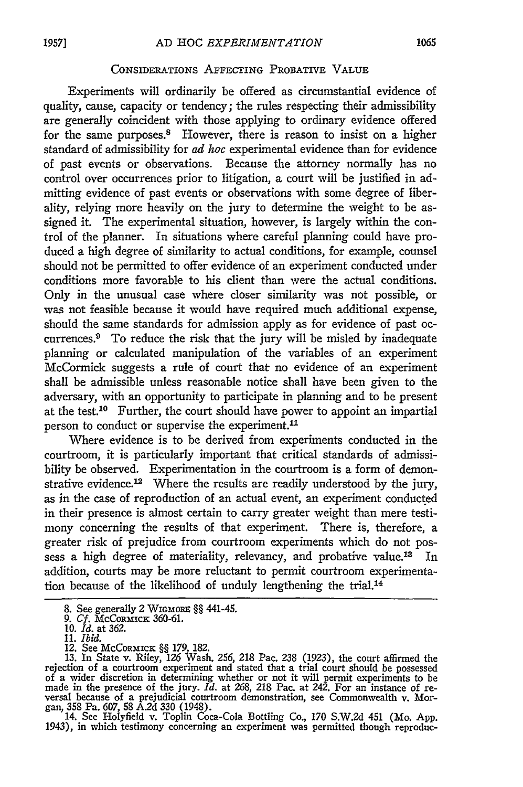#### CONSIDERATIONS AFFECTING PROBATIVE VALUE

Experiments will ordinarily be offered as circumstantial evidence of quality, cause, capacity or tendency; the rules respecting their admissibility are generally coincident with those applying to ordinary evidence offered for the same purposes.<sup>8</sup> However, there is reason to insist on a higher standard of admissibility for *ad hoc* experimental evidence than for evidence of past events or observations. Because the attorney normally has no control over occurrences prior to litigation, a court will be justified in admitting evidence of past events or observations with some degree of liberality, relying more heavily on the jury to determine the weight to be assigned it. The experimental situation, however, is largely within the control of the planner. In situations where careful planning could have produced a high degree of similarity to actual conditions, for example, counsel should not be permitted to offer evidence of an experiment conducted under conditions more favorable to his client than were the actual conditions. Only in the unusual case where closer similarity was not possible, or was not feasible because it would have required much additional expense, should the same standards for admission apply as for evidence of past occurrences.9 To reduce the risk that the jury will be misled by inadequate planning or calculated manipulation of the variables of an experiment McCormick suggests a rule of court that no evidence of an experiment shall be admissible unless reasonable notice shall have been given to the adversary, with an opportunity to participate in planning and to be present at the test.10 Further, the court should have power to appoint an impartial person to conduct or supervise the experiment.<sup>11</sup>

Where evidence is to be derived from experiments conducted in the courtroom, it is particularly important that critical standards of admissibility be observed. Experimentation in the courtroom is a form of demonstrative evidence.<sup>12</sup> Where the results are readily understood by the jury, as in the case of reproduction of an actual event, an experiment conducted in their presence is almost certain to carry greater weight than mere testimony concerning the results of that experiment. There is, therefore, a greater risk of prejudice from courtroom experiments which do not possess a high degree of materiality, relevancy, and probative value.<sup>13</sup> In addition, courts may be more reluctant to permit courtroom experimentation because of the likelihood of unduly lengthening the trial.<sup>14</sup>

1943), in which testimony concerning an experiment was permitted though reproduc-

<sup>8.</sup> See generally 2 WIGMORE §§ 441-45.

*<sup>9.</sup> Cf.* McCORMIcK 360-61. 10. *Id.* at 362.

<sup>11.</sup> *Ibid.*

<sup>12.</sup> See McCoRMICK §§ 179, 182.<br>13. In State v. Riley, 126 Wash. 256, 218 Pac. 238 (1923), the court affirmed the<br>rejection of a courtroom experiment and stated that a trial court should be possessed of a wider discretion in determining whether or not it will permit experiments to be<br>made in the presence of the jury. *Id.* at 268, 218 Pac. at 242. For an instance of re-<br>versal because of a prejudicial courtroom demonst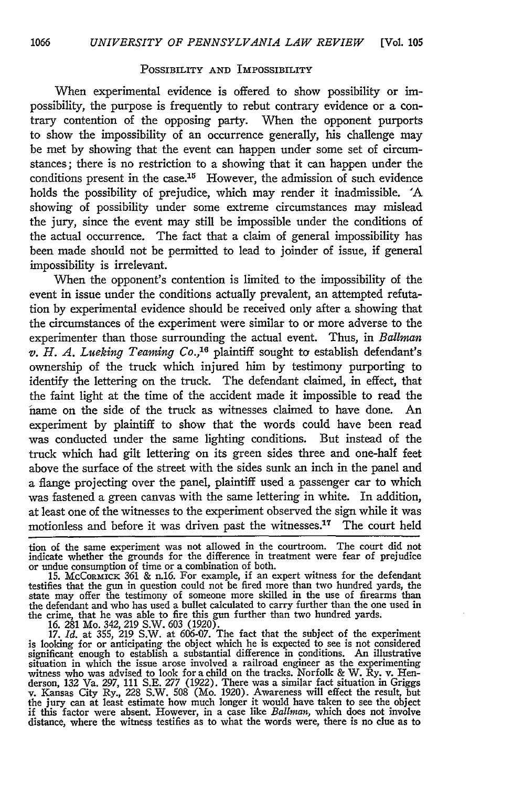#### POSSIBILITY **AND** IMPOSSIBILITY

When experimental evidence is offered to show possibility or impossibility, the purpose is frequently to rebut contrary evidence or a contrary contention of the opposing party. When the opponent purports to show the impossibility of an occurrence generally, his challenge may be met by showing that the event can happen under some set of circumstances; there is no restriction to a showing that it can happen under the conditions present in the case.15 However, the admission of such evidence holds the possibility of prejudice, which may render it inadmissible. **'A** showing of possibility under some extreme circumstances may mislead the jury, since the event may still be impossible under the conditions of the actual occurrence. The fact that a claim of general impossibility has been made should not be permitted to lead to joinder of issue, if general impossibility is irrelevant.

When the opponent's contention is limited to the impossibility of the event in issue under the conditions actually prevalent, an attempted refutation by experimental evidence should be received only after a showing that the circumstances of the experiment were similar to or more adverse to the experimenter than those surrounding the actual event. Thus, in *Balliman v. H. A. Lueking Teaming Co.*,<sup>16</sup> plaintiff sought to establish defendant's ownership of the truck which injured him by testimony purporting to identify the lettering on the truck. The defendant claimed, in effect, that the faint light at the time of the accident made it impossible to read the name on the side of the truck as witnesses claimed to have done. An experiment by plaintiff to show that the words could have been read was conducted under the same lighting conditions. But instead of the truck which had gilt lettering on its green sides three and one-half feet above the surface of the street with the sides sunk an inch in the panel and a flange projecting over the panel, plaintiff used a passenger car to which was fastened a green canvas with the same lettering in white. In addition, at least one of the witnesses to the experiment observed the sign while it was motionless and before it was driven past the witnesses.<sup>17</sup> The court held

tion of the same experiment was not allowed in the courtroom. The court did not<br>indicate whether the grounds for the difference in treatment were fear of prejudice<br>or undue consumption of time or a combination of both.<br>15

testifies that the gun in question could not be fired more than two hundred yards, the state may offer the testimony of someone more skilled in the use of firearms than<br>the defendant and who has used a bullet calculated to carry further than the one used in<br>the crime, that he was able to fire this gun furth

significant enough to establish a substantial difference in conditions. An illustrative situation in which the issue arose involved a railroad engineer as the experimenting witness who was advised to look for a child on the tracks. Norfolk & W. Ry. v. Hen-derson, 132 Va. *297,* 111 S.E. *277* (1922). There was a similar fact situation in Griggs v. Kansas City Ry., 228 S.W. 508 (Mo. 1920). Awareness will effect the result, but<br>the jury can at least estimate how much longer it would have taken to see the object<br>if this factor were absent. However, in a case like *B* distance, where the witness testifies as to what the words were, there is no clue as to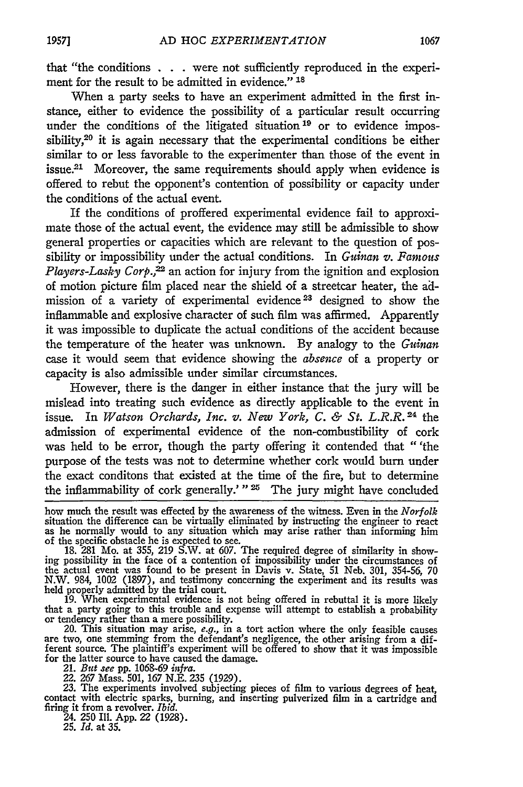that "the conditions . . . were not sufficiently reproduced in the experiment for the result to be admitted in evidence." **18**

When a party seeks to have an experiment admitted in the first instance, either to evidence the possibility of a particular result occurring under the conditions of the litigated situation<sup>19</sup> or to evidence impossibility,<sup>20</sup> it is again necessary that the experimental conditions be either similar to or less favorable to the experimenter than those of the event in issue.<sup>21</sup> Moreover, the same requirements should apply when evidence is offered to rebut the opponent's contention of possibility or capacity under the conditions of the actual event.

If the conditions of proffered experimental evidence fail to approximate those of the actual event, the evidence may still be admissible to show general properties or capacities which are relevant to the question of possibility or impossibility under the actual conditions. In *Guinan v. Famous Players-Lasky Corp.*,<sup>22</sup> an action for injury from the ignition and explosion of motion picture film placed near the shield of a streetcar heater, the admission of a variety of experimental evidence<sup>23</sup> designed to show the inflammable and explosive character of such film was affirmed. Apparently it was impossible to duplicate the actual conditions of the accident because the temperature of the heater was unknown. By analogy to the *Guinan* case it would seem that evidence showing the *absence* of a property or capacity is also admissible under similar circumstances.

However, there is the danger in either instance that the jury will be mislead into treating such evidence as directly applicable to the event in issue. In *Watson Orchards, Inc. v. New York, C. & St. L.R.R.*<sup>24</sup> the admission of experimental evidence of the non-combustibility of cork was held to be error, though the party offering it contended that "'the purpose of the tests was not to determine whether cork would burn under the exact conditons that existed at the time of the fire, but to determine the inflammability of cork generally.' "<sup>25</sup> The jury might have concluded

how much the result was effected by the awareness of the witness. Even in the *Norfolk* situation the difference can be virtually eliminated by instructing the engineer to react as he normally would to any situation which

of the specific obstacle he is expected to see.<br>18. 281 Mo. at 355, 219 S.W. at 607. The required degree of similarity in show-<br>ing possibility in the face of a contention of impossibility under the circumstances of the actual event was found to be present in Davis v. State, 51 Neb. 301, 354-56, 70 N.W. 984, 1002 (1897), and testimony concerning the experiment and its results was held properly admitted by the trial court.

19. When experimental evidence is not being offered in rebuttal it is more likely that a party going to this trouble and expense will attempt to establish a probability or tendency rather than a mere possibility.

20. This situation may arise, *e.g.*, in a tort action where the only feasible causes are two, one stemming from the defendant's negligence, the other arising from a different source. The plaintiff's experiment will be offered to show that it was impossible for the latter source to have caused the damage. 21. *But .ee* **pp.** *1068-69 infra.*

22. 267 Mass. 501, 167 N.E. 235 (1929). 23. The experiments involved subjecting pieces of film to various degrees of heat, contact with electric sparks, burning, and inserting pulverized film in a cartridge and firing it from a revolver. *Ibid.* 24. 250 Ill. App. 22 (1928).

**25.** *Id.* at **35.**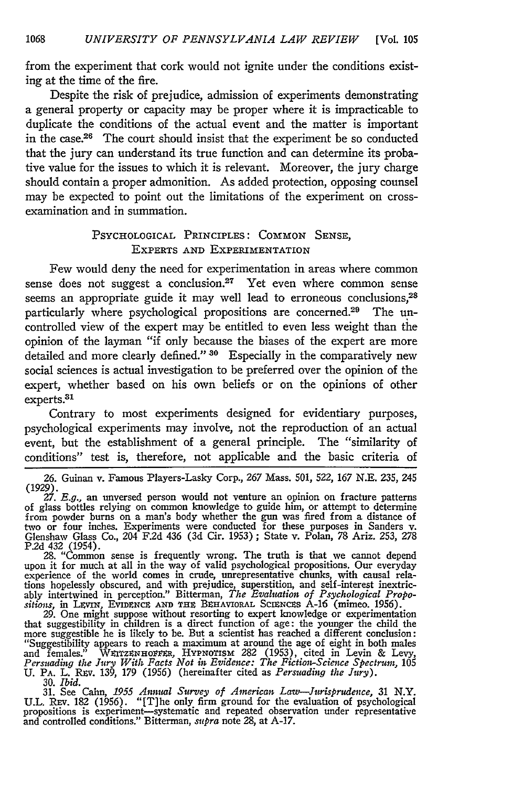from the experiment that cork would not ignite under the conditions existing at the time of the fire.

Despite the risk of prejudice, admission of experiments demonstrating a general property or capacity may be proper where it is impracticable to duplicate the conditions of the actual event and the matter is important in the case.26 The court should insist that the experiment be so conducted that the jury can understand its true function and can determine its probative value for the issues to which it is relevant. Moreover, the jury charge should contain a proper admonition. As added protection, opposing counsel may be expected to point out the limitations of the experiment on crossexamination and in summation.

### PSYCHOLOGICAL PRINCIPLES: **COMMON** SENSE, EXPERTS AND EXPERIMENTATION

Few would deny the need for experimentation in areas where common sense does not suggest a conclusion.<sup>27</sup> Yet even where common sense seems an appropriate guide it may well lead to erroneous conclusions,<sup>28</sup> particularly where psychological propositions are concerned.<sup>29</sup> The uncontrolled view of the expert may be entitled to even less weight than the opinion of the layman "if only because the biases of the expert are more detailed and more clearly defined." **3o** Especially in the comparatively new social sciences is actual investigation to be preferred over the opinion of the expert, whether based on his own beliefs or on the opinions of other experts.<sup>31</sup>

Contrary to most experiments designed for evidentiary purposes, psychological experiments may involve, not the reproduction of an actual event, but the establishment of a general principle. The "similarity of conditions" test is, therefore, not applicable and the basic criteria of

upon it for much at all in the way of valid psychological propositions. Our everyday experience of the world comes in crude, unrepresentative chunks, with causal relations hopelessly obscured, and with prejudice, superstition, and self-interest inextric-<br>ably intertwined in perception." Bitterman, *The Evaluation of Psychological Propo-*<br>sitions, in LEVIN, EVIDENCE AND THE BEHAVIORAL S

that suggestibility in children is a direct function of age: the younger the child the more suggestible he is likely to be. But a scientist has reached a different conclusion: "Suggestibility appears to reach a maximum at around the age of eight in both males and females.<sup>5</sup> WEITZENHOFFER, HYPNOTISM 282 (1953), cited in Levin & Levy, *Persuading the Jury With Facts Not in Evidence: The Fiction-Science Spectrum*, 105<br>U. PA. L. REV. 139, 179 (1956) (hereinafter cited as *Persuadi* 

**30.** *Ibid.* **31.** See Cahn, *1955 Annual Survey of American Law-Jurisprudence,* 31 N.Y. U.L. REV. 182 (1956). "[T]he only firm ground for the evaluation of psychologica propositions is experiment—systematic and repeated observation under representative and controlled conditions." Bitterman, *supra* note 28, at **A-17.**

**<sup>26.</sup>** Guinan v. Famous Players-Lasky Corp., **267** Mass. 501, **522,** 167 **N.E. 235,** 245 (1929). *27. E.g.,* an unversed person would not venture an opinion on fracture patterns

of glass bottles relying on common knowledge to guide him, or attempt to determine<br>from powder burns on a man's body whether the gun was fired from a distance of<br>two or four inches. Experiments were conducted for these pur Glenshaw Glass Co., 204 F.2d 436 (3d Cir. 1953); State v. Polan, 78 Ariz. 253, 278<br>P.2d 432 (1954).<br>28. "Common sense is frequently wrong. The truth is that we cannot depend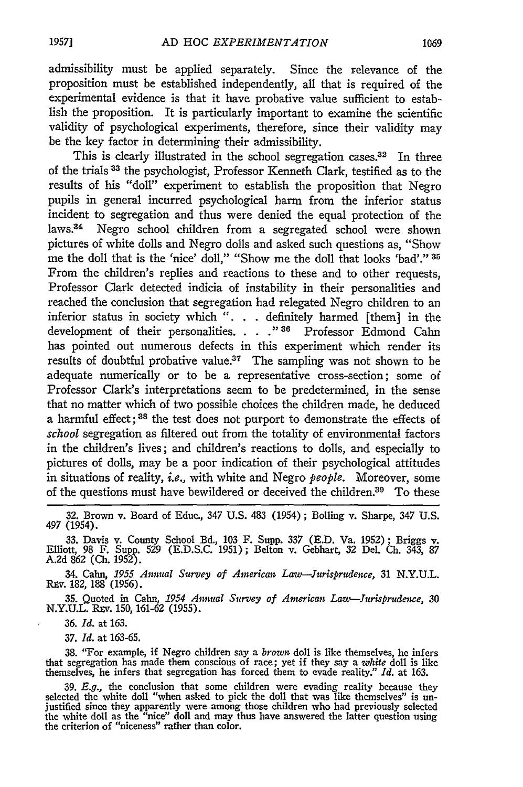admissibility must be applied separately. Since the relevance of the proposition must be established independently, all that is required of the experimental evidence is that it have probative value sufficient to establish the proposition. It is particularly important to examine the scientific validity of psychological experiments, therefore, since their validity may be the key factor in determining their admissibility.

This is clearly illustrated in the school segregation cases.<sup>32</sup> In three of the trials 33 the psychologist, Professor Kenneth Clark, testified as to the results of his "doll" experiment to establish the proposition that Negro pupils in general incurred psychological harm from the inferior status incident to segregation and thus were denied the equal protection of the laws.<sup>34</sup> Negro school children from a segregated school were shown pictures of white dolls and Negro dolls and asked such questions as, "Show me the doll that is the 'nice' doll," "Show me the doll that looks 'bad'." **35** From the children's replies and reactions to these and to other requests, Professor Clark detected indicia of instability in their personalities and reached the conclusion that segregation had relegated Negro children to an inferior status in society which ". **.** . definitely harmed [them] in the development of their personalities. . . . <sup>"36</sup> Professor Edmond Cahn has pointed out numerous defects in this experiment which render its results of doubtful probative value.37 The sampling was not shown to be adequate numerically or to be a representative cross-section; some of Professor Clark's interpretations seem to be predetermined, in the sense that no matter which of two possible choices the children made, he deduced a harmful effect; **<sup>3</sup> <sup>8</sup>**the test does not purport to demonstrate the effects of *school* segregation as filtered out from the totality of environmental factors in the children's lives; and children's reactions to dolls, and especially to pictures of dolls, may be a poor indication of their psychological attitudes in situations of reality, *i.e.,* with white and Negro *people.* Moreover, some of the questions must have bewildered or deceived the children.39 To these

34. Calm, *1955 Annual Survey of American Law--Jurisprudence,* 31 N.Y.U.L. R.v. 182, 188 (1956).

**35.** Quoted in Calm, *1954 Annual Survey of American Law-Jursprudence,* 30 N.Y.U.L. Rzv. 150, 161-62 (1955).

*36. Id.* at 163.

37. *Id.* at 163-65.

38. "For example, if Negro children say a *brown* doll is like themselves, he infers that segregation has made them conscious of race; yet if they say a *white* doll is like themselves, he infers that segregation has forced them to evade reality." *Id.* at 163.

39.  $E.g.,$  the conclusion that some children were evading reality because they selected the white doll "when asked to pick the doll that was like themselves" is unjustified since they apparently were among those children w the white doll as the "nice" doll and may thus have answered the latter question using<br>the criterion of "niceness" rather than color.

<sup>32.</sup> Brown v. Board of Educ., 347 U.S. 483 (1954); Bolling v. Sharpe, *347* U.S. 497 (1954).

<sup>33.</sup> Davis v. County School Bd., 103 F. Supp. 337 (E.D. Va. 1952); Briggs v. Elliott, 98 F. Supp. 529 (E.D.S.C. 1951); Belton v. Gebhart, 32 Del. Ch. 343, **<sup>87</sup>** A.2d 862 **(Ch.** 1952).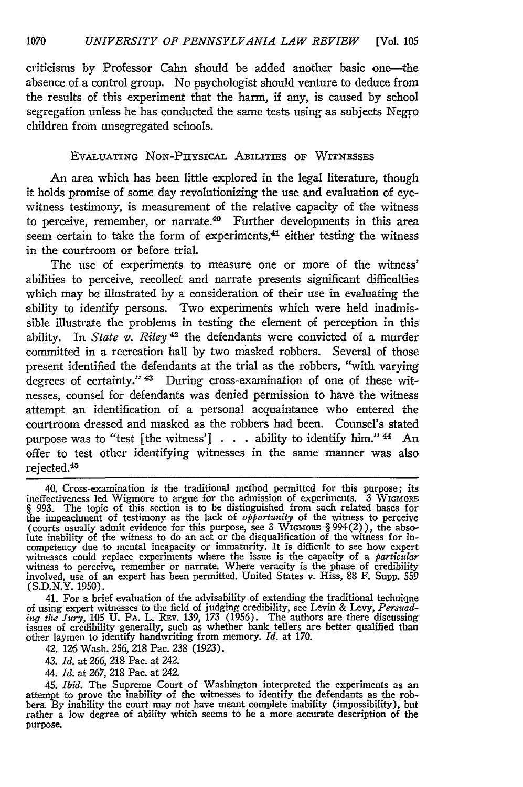criticisms by Professor Cahn should be added another basic one-the absence of a control group. No psychologist should venture to deduce from the results of this experiment that the harm, if any, is caused by school segregation unless he has conducted the same tests using as subjects Negro children from unsegregated schools.

#### **EVALUATING** NON-PHYsICAL ABILITIES OF WITNESSES

An area which has been little explored in the legal literature, though it holds promise of some day revolutionizing the use and evaluation of eyewitness testimony, is measurement of the relative capacity of the witness to perceive, remember, or narrate.4° Further developments in this area seem certain to take the form of experiments, $41$  either testing the witness in the courtroom or before trial.

The use of experiments to measure one or more of the witness' abilities to perceive, recollect and narrate presents significant difficulties which may be illustrated **by** a consideration of their use in evaluating the ability to identify persons. Two experiments which were held inadmissible illustrate the problems in testing the element of perception in this ability. In *State v. Riley*<sup>42</sup> the defendants were convicted of a murder committed in a recreation hall **by** two masked robbers. Several of those present identified the defendants at the trial as the robbers, "with varying degrees of certainty." <sup>43</sup> During cross-examination of one of these witnesses, counsel for defendants was denied permission to have the witness attempt an identification of a personal acquaintance who entered the courtroom dressed and masked as the robbers had been. Counsel's stated purpose was to "test [the witness'] **. .** ability to identify him." 44 An offer to test other identifying witnesses in the same manner was also rejected.<sup>45</sup>

41. For a brief evaluation of the advisability of extending the traditional technique of using expert witnesses to the field of judging credibility, see Levin & Levy, *Persuading the Jury*, 105 U. PA. L. REV. 139, 173 (1956). The authors are there discussing issues of credibility generally, such as whether

*42.* 126 Wash. *256,* 218 Pac. 238 (1923).

43. *Id.* at *266,* 218 Pac. at 242.

44. *Id.* at 267, 218 Pac. at 242.

45. *Ibid.* The Supreme Court of Washington interpreted the experiments as an attempt to prove the inability of the witnesses to identify the defendants as the robbers. **By** inability the court may not have meant complete inability (impossibility), but rather a low degree of ability which seems to be a more accurate description of the purpose.

<sup>40.</sup> Cross-examination is the traditional method permitted for this purpose; its ineffectiveness led Wigmore to argue for the admission of experiments. 3 WIGMORE § 993. The topic of this section is to be distinguished from such related bases for<br>the impeachment of testimony as the lack of *opportunity* of the witness to perceive<br>(courts usually admit evidence for this purpose, see witnesses could replace experiments where the issue is the capacity of a *particular* witness to perceive, remember or narrate. Where veracity is the phase of credibility involved, use of an expert has been permitted. Unit (S.D.N.Y. 1950).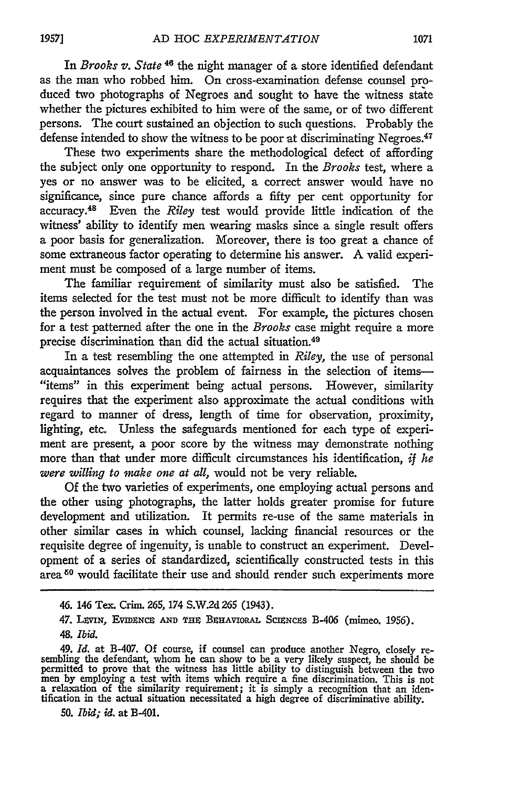In *Brooks v. State* <sup>46</sup> the night manager of a store identified defendant as the man who robbed him. On cross-examination defense counsel **pro**duced two photographs of Negroes and sought to have the witness state whether the pictures exhibited to him were of the same, or of two different persons. The court sustained an objection to such questions. Probably the defense intended to show the witness to be poor at discriminating Negroes.<sup>47</sup>

These two experiments share the methodological defect of affording the subject only one opportunity to respond. In the *Brooks* test, where a yes or no answer was to be elicited, a correct answer would have no significance, since pure chance affords a fifty per cent opportunity for accuracy. 48 Even the *Riley* test would provide little indication of the witness' ability to identify men wearing masks since a single result offers a poor basis for generalization. Moreover, there is too great a chance of some extraneous factor operating to determine his answer. **A** valid experiment must be composed of a large number of items.

The familiar requirement of similarity must also be satisfied. The items selected for the test must not be more difficult to identify than was the person involved in the actual event. For example, the pictures chosen for a test patterned after the one in the *Brooks* case might require a more precise discrimination than did the actual situation.49

In a test resembling the one attempted in *Riley,* the use of personal acquaintances solves the problem of fairness in the selection of items- "items" in this experiment being actual persons. However, similarity requires that the experiment also approximate the actual conditions with regard to manner of dress, length of time for observation, proximity, lighting, etc. Unless the safeguards mentioned for each type of experiment are present, a poor score **by** the witness may demonstrate nothing more than that under more difficult circumstances his identification, *if he were willing to make one at all, would not be very reliable.* 

**Of** the two varieties of experiments, one employing actual persons and the other using photographs, the latter holds greater promise for future development and utilization. It permits re-use of the same materials in other similar cases in which counsel, lacking financial resources or the requisite degree of ingenuity, is unable to construct an experiment. Development of a series of standardized, scientifically constructed tests in this area<sup>50</sup> would facilitate their use and should render such experiments more

**50.** *Ibid; id.* at B-401.

**19571**

<sup>46. 146</sup> Tex. Crim. **265,** 174 **S.W.2d** *265* (1943).

<sup>47.</sup> **L wn,** EvmZNcx **AND T BEHAVIORAL** Sc'zNczs B-406 (mimeo. **1956).** *48. Ibid.*

<sup>49.</sup> *Id.* at B-407. **Of** course, if counsel can produce another Negro, closely re- sembling the defendant, whom he can show to be a very likely suspect, he should be permitted to prove that the witness has little ability to distinguish between the two<br>men by employing a test with items which require a fine discrimination. This is not<br>a relaxation of the similarity requirement; it is si tification in the actual situation necessitated a high degree of discriminative ability.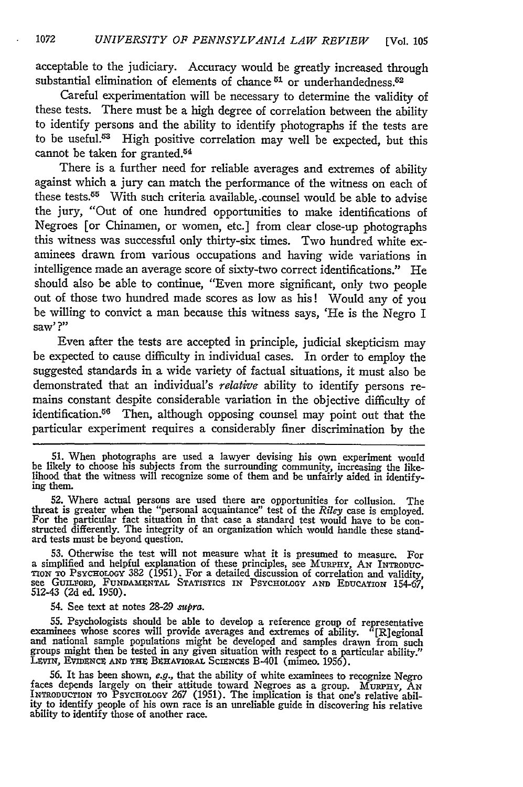acceptable to the judiciary. Accuracy would be greatly increased through substantial elimination of elements of chance <sup>51</sup> or underhandedness.<sup>52</sup>

Careful experimentation will be necessary to determine the validity of these tests. There must be a high degree of correlation between the ability to identify persons and the ability to identify photographs if the tests are to be useful. $53$  High positive correlation may well be expected, but this cannot be taken for granted.<sup>54</sup>

There is a further need for reliable averages and extremes of ability against which a jury can match the performance of the witness on each of these tests.<sup>55</sup> With such criteria available, counsel would be able to advise the jury, "Out of one hundred opportunities to make identifications of Negroes [or Chinamen, or women, etc.] from clear close-up photographs this witness was successful only thirty-six times. Two hundred white examinees drawn from various occupations and having wide variations in intelligence made an average score of sixty-two correct identifications." He should also be able to continue, "Even more significant, only two people out of those two hundred made scores as low as his! Would any of you be willing to convict a man because this witness says, 'He is the Negro I saw' **?"**

Even after the tests are accepted in principle, judicial skepticism may be expected to cause difficulty in individual cases. In order to employ the suggested standards in a wide variety of factual situations, it must also be demonstrated that an individual's *relative* ability to identify persons remains constant despite considerable variation in the objective difficulty of identification.<sup>56</sup> Then, although opposing counsel may point out that the particular experiment requires a considerably finer discrimination by the

51. When photographs are used a lawyer devising his own experiment would be likely to choose his subjects from the surrounding community, increasing the like-lihood that the witness will recognize some of them and be unfairly aided in identifying them.

52. Where actual persons are used there are opportunities for collusion. The threat is greater when the "personal acquaintance" test of the *Riley* case is employed. For the particular fact situation in that case a standar ard tests must be beyond question.

53. Otherwise the test will not measure what it is presumed to measure. For a simplified and helpful explanation of these principles, see MmPHY, **AN** INTRoDUc-Tox To PSYCHOLOGY 382 (1951). For a detailed discussion of correlation and validity, **see GuILxoRD, FUNDAM1XNTAL STATISTICS IN PSYCHOLOGY AND EDUCATION** 154-67, 512-43 **(2d** ed. 1950).

54. See text at notes **28-29** *supra.*

55. Psychologists should be able to develop a reference group of representative<br>examinees whose scores will provide averages and extremes of ability. "[R]egional<br>and national sample populations might be developed and sampl groups might then be tested in any given situation with respect to a particular ability." LtvIN, EVIDNCE **AND THz** B4HAVIORAL ScmNcEs B-401 (mimeo. 1956).

56. It has been shown, e.g., that the ability of white examinees to recognize Negro<br>faces depends largely on their attitude toward Negroes as a group. MURPHY, AN<br>INTRODUCTION TO PSYCHOLOGY 267 (1951). The implication is th